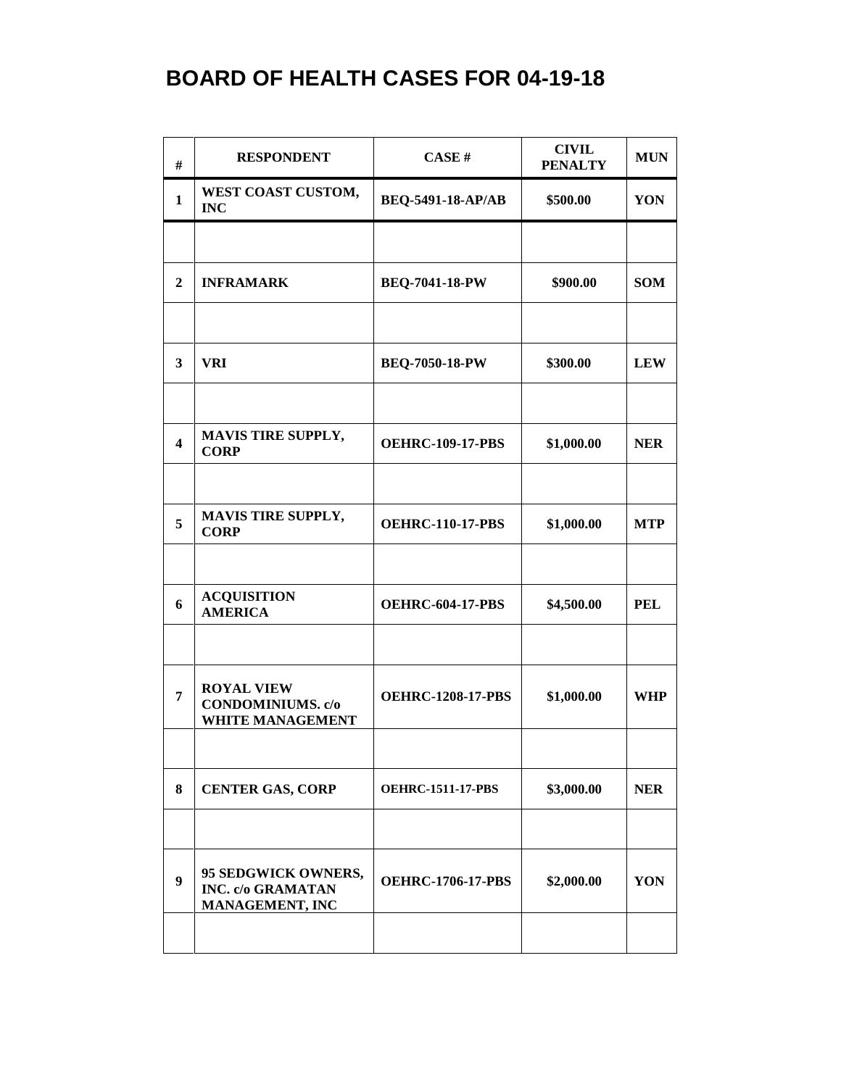| #                       | <b>RESPONDENT</b>                                                         | CASE#                    | <b>CIVIL</b><br><b>PENALTY</b> | <b>MUN</b> |
|-------------------------|---------------------------------------------------------------------------|--------------------------|--------------------------------|------------|
| $\mathbf{1}$            | WEST COAST CUSTOM,<br><b>INC</b>                                          | BEQ-5491-18-AP/AB        | \$500.00                       | YON        |
|                         |                                                                           |                          |                                |            |
| $\mathbf{2}$            | <b>INFRAMARK</b>                                                          | <b>BEQ-7041-18-PW</b>    | \$900.00                       | <b>SOM</b> |
|                         |                                                                           |                          |                                |            |
| 3                       | VRI                                                                       | <b>BEQ-7050-18-PW</b>    | \$300.00                       | <b>LEW</b> |
|                         |                                                                           |                          |                                |            |
| $\overline{\mathbf{4}}$ | <b>MAVIS TIRE SUPPLY,</b><br><b>CORP</b>                                  | <b>OEHRC-109-17-PBS</b>  | \$1,000.00                     | <b>NER</b> |
|                         | <b>MAVIS TIRE SUPPLY,</b>                                                 |                          |                                |            |
| 5                       | <b>CORP</b>                                                               | <b>OEHRC-110-17-PBS</b>  | \$1,000.00                     | <b>MTP</b> |
|                         |                                                                           |                          |                                |            |
| 6                       | <b>ACQUISITION</b><br><b>AMERICA</b>                                      | <b>OEHRC-604-17-PBS</b>  | \$4,500.00                     | <b>PEL</b> |
|                         |                                                                           |                          |                                |            |
| 7                       | <b>ROYAL VIEW</b><br><b>CONDOMINIUMS.</b> c/o<br><b>WHITE MANAGEMENT</b>  | <b>OEHRC-1208-17-PBS</b> | \$1,000.00                     | <b>WHP</b> |
|                         |                                                                           |                          |                                |            |
| 8                       | <b>CENTER GAS, CORP</b>                                                   | <b>OEHRC-1511-17-PBS</b> | \$3,000.00                     | <b>NER</b> |
|                         |                                                                           |                          |                                |            |
| 9                       | 95 SEDGWICK OWNERS,<br><b>INC. c/o GRAMATAN</b><br><b>MANAGEMENT, INC</b> | <b>OEHRC-1706-17-PBS</b> | \$2,000.00                     | YON        |
|                         |                                                                           |                          |                                |            |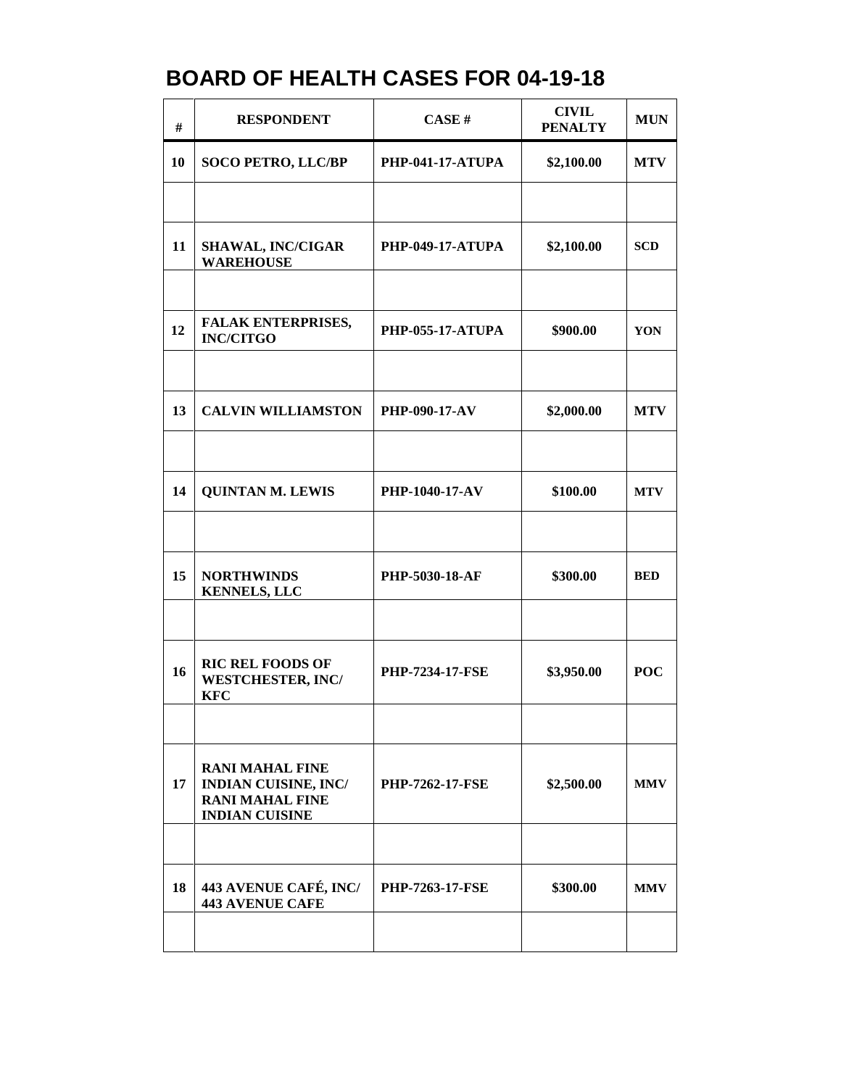| #  | <b>RESPONDENT</b>                                                                                        | CASE#                   | <b>CIVIL</b><br><b>PENALTY</b> | <b>MUN</b> |
|----|----------------------------------------------------------------------------------------------------------|-------------------------|--------------------------------|------------|
| 10 | <b>SOCO PETRO, LLC/BP</b>                                                                                | <b>PHP-041-17-ATUPA</b> | \$2,100.00                     | <b>MTV</b> |
|    |                                                                                                          |                         |                                |            |
| 11 | <b>SHAWAL, INC/CIGAR</b><br><b>WAREHOUSE</b>                                                             | <b>PHP-049-17-ATUPA</b> | \$2,100.00                     | <b>SCD</b> |
|    |                                                                                                          |                         |                                |            |
| 12 | <b>FALAK ENTERPRISES,</b><br><b>INC/CITGO</b>                                                            | <b>PHP-055-17-ATUPA</b> | \$900.00                       | YON        |
|    |                                                                                                          |                         |                                |            |
| 13 | <b>CALVIN WILLIAMSTON</b>                                                                                | <b>PHP-090-17-AV</b>    | \$2,000.00                     | <b>MTV</b> |
|    |                                                                                                          |                         |                                |            |
| 14 | <b>QUINTAN M. LEWIS</b>                                                                                  | PHP-1040-17-AV          | \$100.00                       | <b>MTV</b> |
|    |                                                                                                          |                         |                                |            |
| 15 | <b>NORTHWINDS</b><br><b>KENNELS, LLC</b>                                                                 | PHP-5030-18-AF          | \$300.00                       | <b>BED</b> |
|    |                                                                                                          |                         |                                |            |
| 16 | <b>RIC REL FOODS OF</b><br><b>WESTCHESTER, INC/</b><br><b>KFC</b>                                        | <b>PHP-7234-17-FSE</b>  | \$3,950.00                     | <b>POC</b> |
|    |                                                                                                          |                         |                                |            |
| 17 | <b>RANI MAHAL FINE</b><br><b>INDIAN CUISINE, INC/</b><br><b>RANI MAHAL FINE</b><br><b>INDIAN CUISINE</b> | <b>PHP-7262-17-FSE</b>  | \$2,500.00                     | <b>MMV</b> |
|    |                                                                                                          |                         |                                |            |
| 18 | 443 AVENUE CAFÉ, INC/<br><b>443 AVENUE CAFE</b>                                                          | <b>PHP-7263-17-FSE</b>  | \$300.00                       | <b>MMV</b> |
|    |                                                                                                          |                         |                                |            |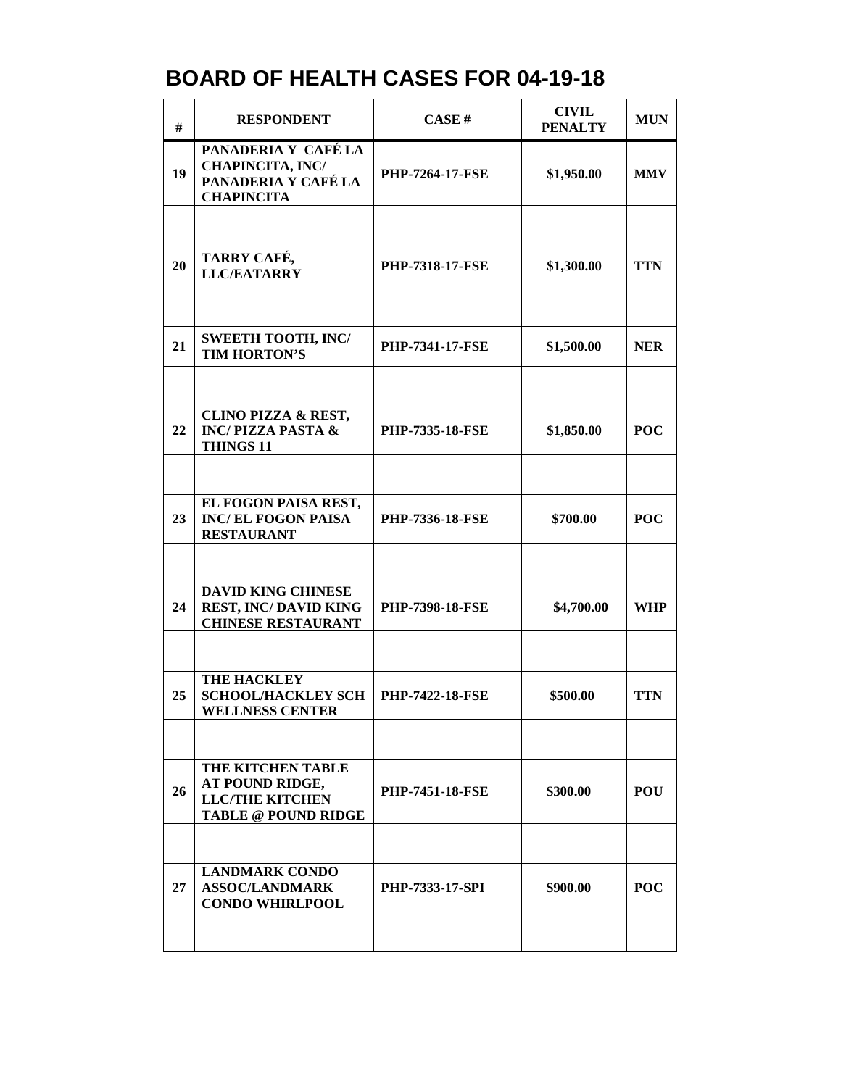| #  | <b>RESPONDENT</b>                                                                            | CASE#                  | <b>CIVIL</b><br><b>PENALTY</b> | <b>MUN</b> |
|----|----------------------------------------------------------------------------------------------|------------------------|--------------------------------|------------|
| 19 | PANADERIA Y CAFÉ LA<br><b>CHAPINCITA, INC/</b><br>PANADERIA Y CAFÉ LA<br><b>CHAPINCITA</b>   | <b>PHP-7264-17-FSE</b> | \$1,950.00                     | <b>MMV</b> |
|    |                                                                                              |                        |                                |            |
| 20 | TARRY CAFÉ,<br><b>LLC/EATARRY</b>                                                            | <b>PHP-7318-17-FSE</b> | \$1,300.00                     | <b>TTN</b> |
|    |                                                                                              |                        |                                |            |
| 21 | <b>SWEETH TOOTH, INC/</b><br><b>TIM HORTON'S</b>                                             | <b>PHP-7341-17-FSE</b> | \$1,500.00                     | <b>NER</b> |
|    |                                                                                              |                        |                                |            |
| 22 | <b>CLINO PIZZA &amp; REST,</b><br><b>INC/PIZZA PASTA &amp;</b><br><b>THINGS 11</b>           | <b>PHP-7335-18-FSE</b> | \$1,850.00                     | <b>POC</b> |
|    |                                                                                              |                        |                                |            |
| 23 | EL FOGON PAISA REST,<br><b>INC/EL FOGON PAISA</b><br><b>RESTAURANT</b>                       | <b>PHP-7336-18-FSE</b> | \$700.00                       | <b>POC</b> |
|    |                                                                                              |                        |                                |            |
| 24 | <b>DAVID KING CHINESE</b><br><b>REST, INC/DAVID KING</b><br><b>CHINESE RESTAURANT</b>        | <b>PHP-7398-18-FSE</b> | \$4,700.00                     | <b>WHP</b> |
|    |                                                                                              |                        |                                |            |
| 25 | THE HACKLEY<br><b>SCHOOL/HACKLEY SCH</b><br><b>WELLNESS CENTER</b>                           | <b>PHP-7422-18-FSE</b> | \$500.00                       | <b>TTN</b> |
|    |                                                                                              |                        |                                |            |
| 26 | THE KITCHEN TABLE<br>AT POUND RIDGE,<br><b>LLC/THE KITCHEN</b><br><b>TABLE @ POUND RIDGE</b> | <b>PHP-7451-18-FSE</b> | \$300.00                       | <b>POU</b> |
|    |                                                                                              |                        |                                |            |
| 27 | <b>LANDMARK CONDO</b><br><b>ASSOC/LANDMARK</b><br><b>CONDO WHIRLPOOL</b>                     | <b>PHP-7333-17-SPI</b> | \$900.00                       | <b>POC</b> |
|    |                                                                                              |                        |                                |            |